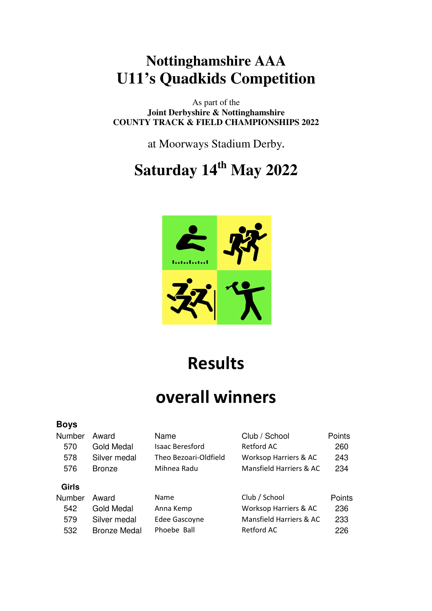## **Nottinghamshire AAA U11's Quadkids Competition**

As part of the **Joint Derbyshire & Nottinghamshire COUNTY TRACK & FIELD CHAMPIONSHIPS 2022** 

at Moorways Stadium Derby**.** 

**Saturday 14th May 2022** 



**Results** 

## **overall winners**

| <b>Boys</b>  |                     |                        |                         |        |
|--------------|---------------------|------------------------|-------------------------|--------|
| Number       | Award               | Name                   | Club / School           | Points |
| 570          | Gold Medal          | <b>Isaac Beresford</b> | Retford AC              | 260    |
| 578          | Silver medal        | Theo Bezoari-Oldfield  | Worksop Harriers & AC   | 243    |
| 576          | <b>Bronze</b>       | Mihnea Radu            | Mansfield Harriers & AC | 234    |
| <b>Girls</b> |                     |                        |                         |        |
| Number       | Award               | Name                   | Club / School           | Points |
| 542          | Gold Medal          | Anna Kemp              | Worksop Harriers & AC   | 236    |
| 579          | Silver medal        | Edee Gascoyne          | Mansfield Harriers & AC | 233    |
| 532          | <b>Bronze Medal</b> | Phoebe Ball            | Retford AC              | 226    |
|              |                     |                        |                         |        |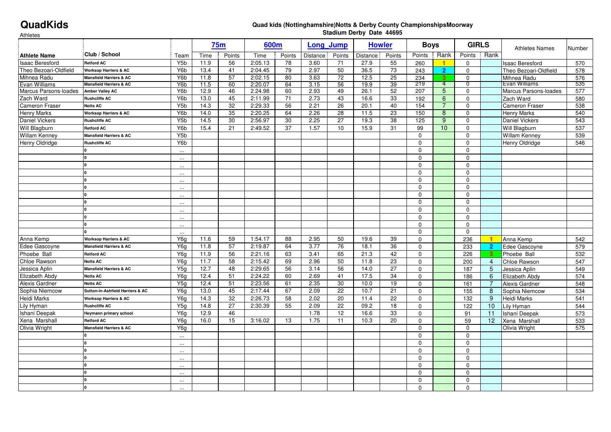## **QuadKids**

## **Quad kids (Nottinghamshire)Notts & Derby County ChampionshipsMoorway Stadium Derby Date 44695**

Athletes

| Attiletes              |                                    |                  | <b>75m</b> |                 | 600m    |        | <b>Long Jump</b> |                 | <b>Howler</b> |                 | <b>Boys</b>     |                | <b>GIRLS</b>     |                         |                        |        |
|------------------------|------------------------------------|------------------|------------|-----------------|---------|--------|------------------|-----------------|---------------|-----------------|-----------------|----------------|------------------|-------------------------|------------------------|--------|
| <b>Athlete Name</b>    | Club / School                      | Team             | Time       | Points          | Time    | Points | Distance         | Points          | Distance      | Points          | Points          | Rank           | Points           | Rank                    | <b>Athletes Names</b>  | Number |
| <b>Isaac Beresford</b> | <b>Retford AC</b>                  | Y5b              | 11.9       | 56              | 2:05.13 | 78     | 3.60             | 71              | 27.9          | 55              | 260             | 1              | $\mathbf 0$      |                         | <b>Isaac Beresford</b> | 570    |
| Theo Bezoari-Oldfield  | <b>Worksop Harriers &amp; AC</b>   | Y <sub>6</sub> b | 13.4       | 41              | 2:04.45 | 79     | 2.97             | 50              | 36.5          | 73              | 243             | $\overline{2}$ | $\mathbf 0$      |                         | Theo Bezoari-Oldfield  | 578    |
| Mihnea Radu            | <b>Mansfield Harriers &amp; AC</b> | Y6b              | 11.8       | 57              | 2:02.15 | 80     | 3.63             | $\overline{72}$ | 12.5          | 25              | 234             | $\overline{3}$ | $\mathbf 0$      |                         | Mihnea Radu            | 576    |
| Evan Williams          | <b>Mansfield Harriers &amp; AC</b> | Y6b              | 11.5       | 60              | 2:20.07 | 64     | 3.15             | 56              | 19.9          | 39              | 219             | -4             | 0                |                         | Evan Williams          | 535    |
| Marcus Parsons-loades  | <b>Amber Valley AC</b>             | Y <sub>6</sub> b | 12.9       | 46              | 2.24.98 | 60     | 2.93             | 49              | 26.1          | 52              | 207             | 5              | $\mathbf 0$      |                         | Marcus Parsons-loades  | 577    |
| Zach Ward              | <b>Rushcliffe AC</b>               | Y6b              | 13.0       | 45              | 2:11.99 | 71     | 2.73             | 43              | 16.6          | 33              | $\frac{1}{192}$ | 6              | $\mathbf 0$      |                         | Zach Ward              | 580    |
| Cameron Fraser         | Notts AC                           | Y <sub>5</sub> b | 14.3       | 32              | 2:29.33 | 56     | 2.21             | 26              | 20.1          | 40              | 154             | $\overline{7}$ | $\mathbf 0$      |                         | <b>Cameron Fraser</b>  | 538    |
| <b>Henry Marks</b>     | <b>Worksop Harriers &amp; AC</b>   | Y <sub>6</sub> b | 14.0       | 35              | 2:20.25 | 64     | 2.26             | 28              | 11.5          | 23              | 150             | 8              | 0                |                         | <b>Henry Marks</b>     | 540    |
| <b>Daniel Vickers</b>  | <b>Rushcliffe AC</b>               | Y5b              | 14.5       | 30              | 2:56.97 | 30     | 2.25             | $\overline{27}$ | 19.3          | 38              | 125             | 9              | $\mathbf 0$      |                         | <b>Daniel Vickers</b>  | 543    |
| Will Blagburn          | <b>Retford AC</b>                  | Y6b              | 15.4       | 21              | 2:49.52 | 37     | 1.57             | 10              | 15.9          | 31              | 99              | 10             | 0                |                         | Will Blagburn          | 537    |
| <b>Willam Kenney</b>   | Mansfield Harriers & AC            | Y5b              |            |                 |         |        |                  |                 |               |                 | $\mathbf 0$     |                | $\mathbf 0$      |                         | <b>Willam Kenney</b>   | 539    |
| <b>Henry Oldridge</b>  | <b>Rushcliffe AC</b>               | Y <sub>6</sub> b |            |                 |         |        |                  |                 |               |                 | $\mathbf 0$     |                | $\mathbf 0$      |                         | <b>Henry Oldridge</b>  | 546    |
|                        |                                    | $\sim$           |            |                 |         |        |                  |                 |               |                 | $\mathbf 0$     |                | $\mathbf 0$      |                         |                        |        |
|                        |                                    | $\ldots$         |            |                 |         |        |                  |                 |               |                 | $\mathbf{0}$    |                | $\mathbf 0$      |                         |                        |        |
|                        |                                    | $\sim$           |            |                 |         |        |                  |                 |               |                 | $\mathbf 0$     |                | $\mathbf 0$      |                         |                        |        |
|                        |                                    | $\cdots$         |            |                 |         |        |                  |                 |               |                 | $\mathbf{0}$    |                | $\mathbf 0$      |                         |                        |        |
|                        |                                    | $\sim$           |            |                 |         |        |                  |                 |               |                 | $\mathbf 0$     |                | $\pmb{0}$        |                         |                        |        |
|                        |                                    | $\sim$           |            |                 |         |        |                  |                 |               |                 | $\mathbf 0$     |                | $\mathbf 0$      |                         |                        |        |
|                        | n                                  | $\sim$           |            |                 |         |        |                  |                 |               |                 | $\mathbf{0}$    |                | $\mathbf 0$      |                         |                        |        |
|                        | O                                  | $\cdots$         |            |                 |         |        |                  |                 |               |                 | $\mathbf 0$     |                | $\mathbf 0$      |                         |                        |        |
|                        |                                    | $\sim$           |            |                 |         |        |                  |                 |               |                 | $\mathbf 0$     |                | $\mathbf 0$      |                         |                        |        |
|                        | O                                  | $\cdots$         |            |                 |         |        |                  |                 |               |                 | $\mathbf 0$     |                | $\mathbf 0$      |                         |                        |        |
|                        |                                    | $\sim$           |            |                 |         |        |                  |                 |               |                 | $\Omega$        |                | $\mathbf 0$      |                         |                        |        |
|                        |                                    | $\sim$           |            |                 |         |        |                  |                 |               |                 | $\mathbf 0$     |                | $\mathbf 0$      |                         |                        |        |
| Anna Kemp              | <b>Worksop Harriers &amp; AC</b>   | Y6g              | 11.6       | 59              | 1:54.17 | 88     | 2.95             | 50              | 19.6          | 39              | $\mathbf{0}$    |                | 236              | -1                      | Anna Kemp              | 542    |
| Edee Gascoyne          | <b>Mansfield Harriers &amp; AC</b> | Y6g              | 11.8       | 57              | 2:19.87 | 64     | 3.77             | 76              | 18.1          | 36              | $\mathbf 0$     |                | 233              | -2                      | Edee Gascoyne          | 579    |
| Phoebe Ball            | <b>Retford AC</b>                  | Y6q              | 11.9       | 56              | 2:21.16 | 63     | 3.41             | 65              | 21.3          | 42              | $\Omega$        |                | 226              | $\overline{\mathbf{3}}$ | Phoebe Ball            | 532    |
| Chloe Rawson           | Notts AC                           | Y6g              | 11.7       | 58              | 2:15.42 | 69     | 2.96             | 50              | 11.8          | 23              | $\mathbf 0$     |                | 200              | $\overline{4}$          | Chloe Rawson           | 547    |
| Jessica Aplin          | <b>Mansfield Harriers &amp; AC</b> | Y5q              | 12.7       | 48              | 2:29.65 | 56     | 3.14             | 56              | 14.0          | 27              | $\mathbf{0}$    |                | 187              | 5                       | Jessica Aplin          | 549    |
| Elizabeth Abdy         | <b>Notts AC</b>                    | Y6g              | 12.4       | 51              | 2:24.22 | 60     | 2.69             | 41              | 17.5          | 34              | $\mathbf{0}$    |                | 186              | 6                       | Elizabeth Abdy         | 574    |
| Alexis Gardner         | Notts AC                           | Y5g              | 12.4       | 51              | 2:23.56 | 61     | 2.35             | 30              | 10.0          | 19              | $\mathbf 0$     |                | 161              | $\overline{7}$          | Alexis Gardner         | 548    |
| Sophia Niemcow         | Sutton-in-Ashfield Harriers & AC   | Y6g              | 13.0       | 45              | 2:17.44 | 67     | 2.09             | 22              | 10.7          | 21              | $\mathbf 0$     |                | 155              | 8                       | Sophia Niemcow         | 534    |
| <b>Heidi Marks</b>     | <b>Worksop Harriers &amp; AC</b>   | Y6g              | 14.3       | $\overline{32}$ | 2:26.73 | 58     | 2.02             | 20              | 11.4          | $\overline{22}$ | $\mathbf 0$     |                | $\overline{132}$ | 9                       | <b>Heidi Marks</b>     | 541    |
| Lily Hyman             | <b>Rushcliffe AC</b>               | Y <sub>5g</sub>  | 14.8       | 27              | 2:30.39 | 55     | 2.09             | 22              | 09.2          | 18              | $\mathbf 0$     |                | 122              | 10                      | Lily Hyman             | 544    |
| Ishani Deepak          | Heymann primary school             | Y6g              | 12.9       | 46              |         |        | 1.78             | $\overline{12}$ | 16.6          | 33              | $\mathbf{0}$    |                | 91               | 11                      | Ishani Deepak          | 573    |
| Xena Marshall          | <b>Retford AC</b>                  | Y6g              | 16.0       | 15              | 3:16.02 | 13     | 1.75             | 11              | 10.3          | 20              | $\mathbf 0$     |                | 59               | 12                      | Xena Marshall          | 533    |
| Olivia Wright          | <b>Mansfield Harriers &amp; AC</b> | Y6g              |            |                 |         |        |                  |                 |               |                 | $\mathbf 0$     |                | $\mathbf 0$      |                         | Olivia Wright          | 575    |
|                        |                                    | $\cdots$         |            |                 |         |        |                  |                 |               |                 | $\mathbf 0$     |                | $\Omega$         |                         |                        |        |
|                        |                                    | $\sim$           |            |                 |         |        |                  |                 |               |                 | $\mathbf 0$     |                | $\mathbf{0}$     |                         |                        |        |
|                        | ŋ                                  | $\sim$           |            |                 |         |        |                  |                 |               |                 | $\mathbf 0$     |                | $\mathbf 0$      |                         |                        |        |
|                        |                                    | $\sim$           |            |                 |         |        |                  |                 |               |                 | $\mathbf 0$     |                | $\mathbf{0}$     |                         |                        |        |
|                        |                                    | $\sim$           |            |                 |         |        |                  |                 |               |                 | $\mathbf 0$     |                | $\mathbf{0}$     |                         |                        |        |
|                        |                                    | $\ddotsc$        |            |                 |         |        |                  |                 |               |                 | $\mathbf 0$     |                | $\mathbf 0$      |                         |                        |        |
|                        |                                    | $\sim$           |            |                 |         |        |                  |                 |               |                 | $\mathbf 0$     |                | $\mathbf 0$      |                         |                        |        |
|                        |                                    | $\ddotsc$        |            |                 |         |        |                  |                 |               |                 | $\Omega$        |                | $\Omega$         |                         |                        |        |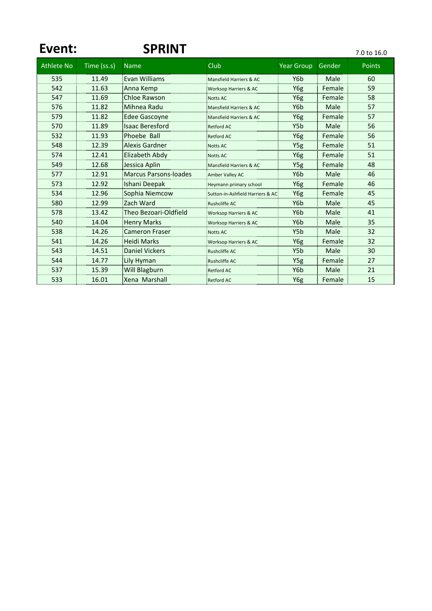| Event:            |             | <b>SPRINT</b>                |                                    |                   |        | 7.0 to 16.0   |
|-------------------|-------------|------------------------------|------------------------------------|-------------------|--------|---------------|
| <b>Athlete No</b> | Time (ss.s) | <b>Name</b>                  | Club                               | <b>Year Group</b> | Gender | <b>Points</b> |
| 535               | 11.49       | Evan Williams                | Mansfield Harriers & AC            | Y <sub>6</sub> b  | Male   | 60            |
| 542               | 11.63       | Anna Kemp                    | <b>Worksop Harriers &amp; AC</b>   | Y6g               | Female | 59            |
| 547               | 11.69       | <b>Chloe Rawson</b>          | <b>Notts AC</b>                    | Y6g               | Female | 58            |
| 576               | 11.82       | Mihnea Radu                  | <b>Mansfield Harriers &amp; AC</b> | Y6b               | Male   | 57            |
| 579               | 11.82       | <b>Edee Gascoyne</b>         | Mansfield Harriers & AC            | Y6g               | Female | 57            |
| 570               | 11.89       | <b>Isaac Beresford</b>       | <b>Retford AC</b>                  | Y5b               | Male   | 56            |
| 532               | 11.93       | Phoebe Ball                  | <b>Retford AC</b><br>.             | Y6g               | Female | 56            |
| 548               | 12.39       | <b>Alexis Gardner</b>        | <b>Notts AC</b>                    | Y <sub>5g</sub>   | Female | 51            |
| 574               | 12.41       | Elizabeth Abdy               | <b>Notts AC</b>                    | Y6g               | Female | 51            |
| 549               | 12.68       | Jessica Aplin                | Mansfield Harriers & AC            | Y5g               | Female | 48            |
| 577               | 12.91       | <b>Marcus Parsons-loades</b> | Amber Valley AC                    | Y6b               | Male   | 46            |
| 573               | 12.92       | Ishani Deepak                | Heymann primary school             | Y6g               | Female | 46            |
| 534               | 12.96       | Sophia Niemcow               | Sutton-in-Ashfield Harriers & AC   | Y6g               | Female | 45            |
| 580               | 12.99       | Zach Ward                    | <b>Rushcliffe AC</b>               | Y6b               | Male   | 45            |
| 578               | 13.42       | Theo Bezoari-Oldfield        | <b>Worksop Harriers &amp; AC</b>   | Y6b               | Male   | 41            |
| 540               | 14.04       | <b>Henry Marks</b>           | Worksop Harriers & AC              | Y6b               | Male   | 35            |
| 538               | 14.26       | <b>Cameron Fraser</b>        | Notts AC                           | Y5b               | Male   | 32            |
| 541               | 14.26       | <b>Heidi Marks</b>           | <b>Worksop Harriers &amp; AC</b>   | Y6g               | Female | 32            |
| 543               | 14.51       | <b>Daniel Vickers</b>        | <b>Rushcliffe AC</b>               | Y5b               | Male   | 30            |
| 544               | 14.77       | Lily Hyman                   | <b>Rushcliffe AC</b>               | Y5g               | Female | 27            |
| 537               | 15.39       | <b>Will Blagburn</b>         | <b>Retford AC</b>                  | Y6b               | Male   | 21            |
| 533               | 16.01       | Xena Marshall                | <b>Retford AC</b>                  | Y6g               | Female | 15            |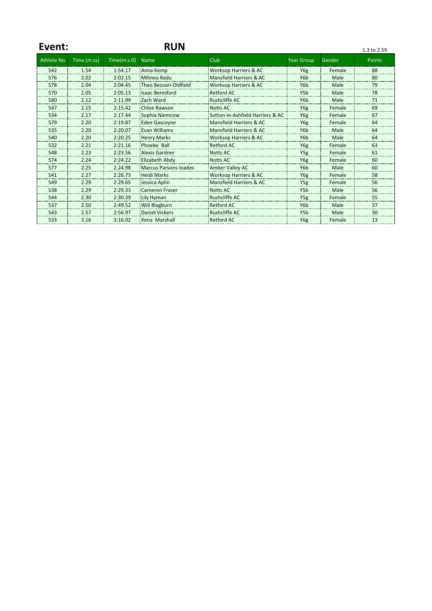| Event:            |             |              | <b>RUN</b>             |                                  |                  |        | 1.3 to 2.59   |
|-------------------|-------------|--------------|------------------------|----------------------------------|------------------|--------|---------------|
| <b>Athlete No</b> | Time (m.ss) | Time(m: s.0) | <b>Name</b>            | Club                             | Year Group       | Gender | <b>Points</b> |
| 542               | 1.54        | 1:54.17      | Anna Kemp              | <b>Worksop Harriers &amp; AC</b> | Y6g              | Female | 88            |
| 576               | 2.02        | 2:02.15      | Mihnea Radu            | Mansfield Harriers & AC          | Y <sub>6</sub> b | Male   | 80            |
| 578               | 2.04        | 2:04.45      | Theo Bezoari-Oldfield  | Worksop Harriers & AC            | Y <sub>6</sub> b | Male   | 79            |
| 570               | 2.05        | 2:05.13      | <b>Isaac Beresford</b> | <b>Retford AC</b>                | Y5b              | Male   | 78            |
| 580               | 2.12        | 2:11.99      | Zach Ward              | <b>Rushcliffe AC</b>             | Y <sub>6</sub> b | Male   | 71            |
| 547               | 2.15        | 2:15.42      | Chloe Rawson           | <b>Notts AC</b>                  | Y6g              | Female | 69            |
| 534               | 2.17        | 2:17.44      | Sophia Niemcow         | Sutton-in-Ashfield Harriers & AC | Y6g              | Female | 67            |
| 579               | 2.20        | 2:19.87      | <b>Edee Gascovne</b>   | Mansfield Harriers & AC          | Y6g              | Female | 64            |
| 535               | 2.20        | 2:20.07      | <b>Evan Williams</b>   | Mansfield Harriers & AC          | Y <sub>6</sub> b | Male   | 64            |
| 540               | 2.20        | 2:20.25      | <b>Henry Marks</b>     | <b>Worksop Harriers &amp; AC</b> | Y6b              | Male   | 64            |
| 532               | 2.21        | 2:21.16      | Phoebe Ball            | <b>Retford AC</b>                | Y6g              | Female | 63            |
| 548               | 2.23        | 2:23.56      | <b>Alexis Gardner</b>  | <b>Notts AC</b>                  | Y5g              | Female | 61            |
| 574               | 2.24        | 2:24.22      | Elizabeth Abdy         | <b>Notts AC</b>                  | Y6g              | Female | 60            |
| 577               | 2.25        | 2.24.98      | Marcus Parsons-loades  | Amber Valley AC                  | Y <sub>6</sub> b | Male   | 60            |
| 541               | 2.27        | 2:26.73      | <b>Heidi Marks</b>     | Worksop Harriers & AC            | Y6g              | Female | 58            |
| 549               | 2.29        | 2:29.65      | Jessica Aplin          | Mansfield Harriers & AC          | Y <sub>5g</sub>  | Female | 56            |
| 538               | 2.29        | 2:29.33      | <b>Cameron Fraser</b>  | <b>Notts AC</b>                  | Y5 <sub>b</sub>  | Male   | 56            |
| 544               | 2.30        | 2:30.39      | Lily Hyman             | Rushcliffe AC                    | Y <sub>5g</sub>  | Female | 55            |
| 537               | 2.50        | 2:49.52      | Will Blagburn          | <b>Retford AC</b>                | Y6b              | Male   | 37            |
| 543               | 2.57        | 2:56.97      | <b>Daniel Vickers</b>  | Rushcliffe AC                    | Y <sub>5</sub> b | Male   | 30            |
| 533               | 3.16        | 3:16.02      | Xena Marshall          | <b>Retford AC</b>                | Y6g              | Female | 13            |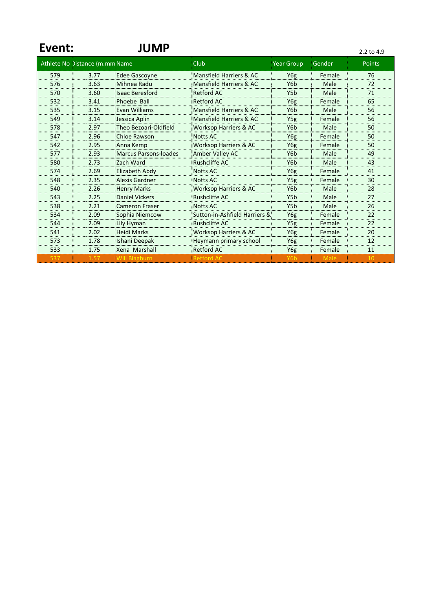| Event: |                                | <b>JUMP</b>                  |                                  |                   |        | 2.2 to 4.9    |
|--------|--------------------------------|------------------------------|----------------------------------|-------------------|--------|---------------|
|        | Athlete No Distance (m.mm Name |                              | Club                             | <b>Year Group</b> | Gender | <b>Points</b> |
| 579    | 3.77                           | <b>Edee Gascovne</b>         | Mansfield Harriers & AC          | Y6g               | Female | 76            |
| 576    | 3.63                           | Mihnea Radu                  | Mansfield Harriers & AC          | Y <sub>6</sub> b  | Male   | 72            |
| 570    | 3.60                           | <b>Isaac Beresford</b>       | <b>Retford AC</b>                | Y5b               | Male   | 71            |
| 532    | 3.41                           | Phoebe Ball                  | <b>Retford AC</b>                | Y6g               | Female | 65            |
| 535    | 3.15                           | <b>Evan Williams</b>         | Mansfield Harriers & AC          | Y <sub>6</sub> b  | Male   | 56            |
| 549    | 3.14                           | Jessica Aplin                | Mansfield Harriers & AC          | Y5g               | Female | 56            |
| 578    | 2.97                           | Theo Bezoari-Oldfield        | <b>Worksop Harriers &amp; AC</b> | Y <sub>6</sub> b  | Male   | 50            |
| 547    | 2.96                           | <b>Chloe Rawson</b>          | <b>Notts AC</b>                  | Y6g               | Female | 50            |
| 542    | 2.95                           | Anna Kemp                    | <b>Worksop Harriers &amp; AC</b> | Y6g               | Female | 50            |
| 577    | 2.93                           | <b>Marcus Parsons-loades</b> | Amber Valley AC                  | Y6b               | Male   | 49            |
| 580    | 2.73                           | Zach Ward                    | <b>Rushcliffe AC</b>             | Y6b               | Male   | 43            |
| 574    | 2.69                           | Elizabeth Abdy               | <b>Notts AC</b>                  | Y6g               | Female | 41            |
| 548    | 2.35                           | <b>Alexis Gardner</b>        | <b>Notts AC</b>                  | Y5g               | Female | 30            |
| 540    | 2.26                           | <b>Henry Marks</b>           | <b>Worksop Harriers &amp; AC</b> | Y6b               | Male   | 28            |
| 543    | 2.25                           | <b>Daniel Vickers</b>        | <b>Rushcliffe AC</b>             | Y5b               | Male   | 27            |
| 538    | 2.21                           | <b>Cameron Fraser</b>        | <b>Notts AC</b>                  | Y <sub>5</sub> b  | Male   | 26            |
| 534    | 2.09                           | Sophia Niemcow               | Sutton-in-Ashfield Harriers &    | Y6g               | Female | 22            |
| 544    | 2.09                           | Lily Hyman                   | <b>Rushcliffe AC</b>             | Y <sub>5g</sub>   | Female | 22<br>        |
| 541    | 2.02                           | <b>Heidi Marks</b>           | <b>Worksop Harriers &amp; AC</b> | Y6g               | Female | 20            |
| 573    | 1.78                           | Ishani Deepak                | Heymann primary school           | Y6g               | Female | 12<br>        |
| 533    | 1.75                           | Xena Marshall                | <b>Retford AC</b>                | Y6g               | Female | 11            |
| 537    | 1.57                           | Will Blagburn                | Retford AC                       | Y6b               | Male   | 10            |